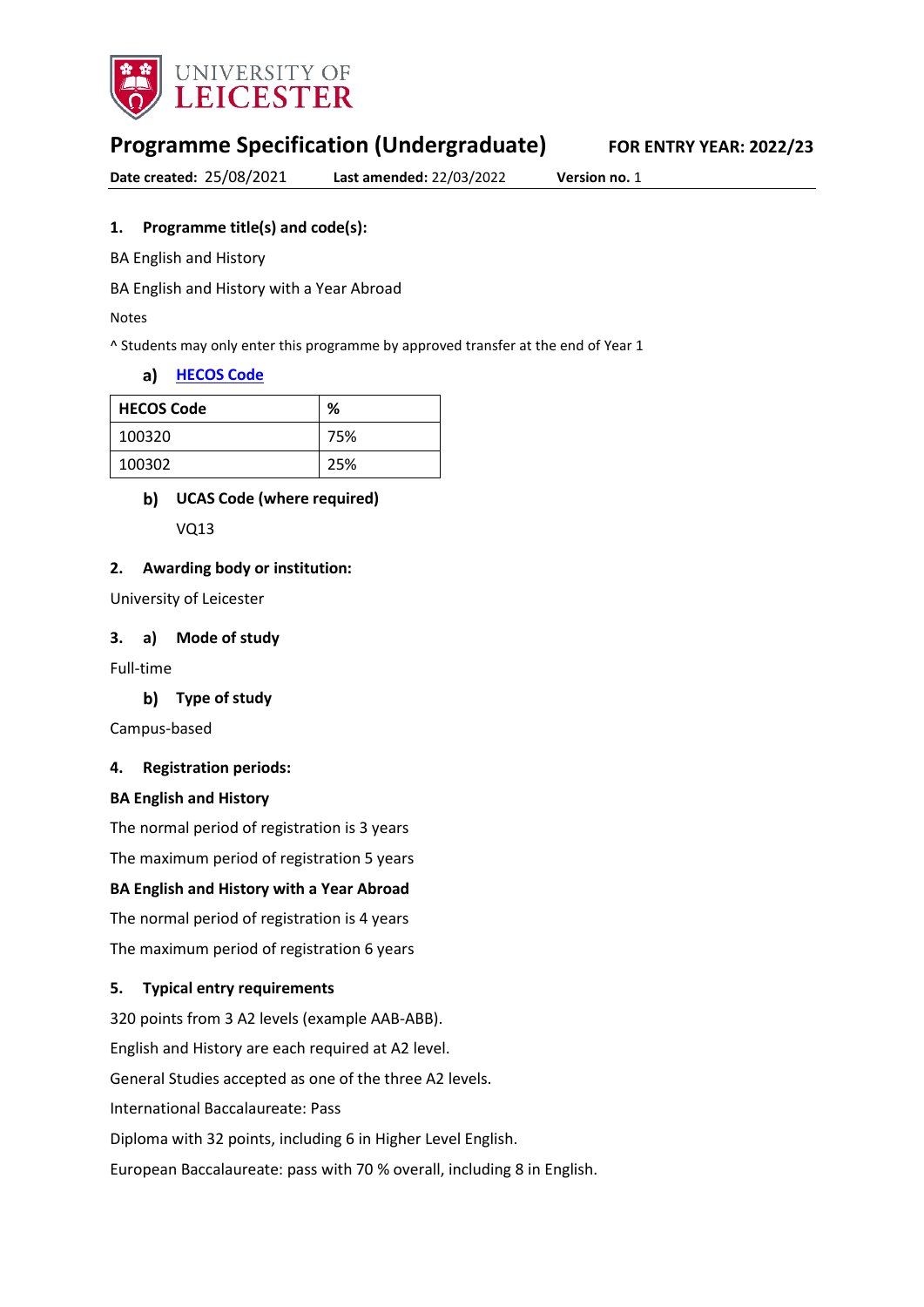

# **Programme Specification (Undergraduate) FOR ENTRY YEAR: 2022/23**

**Date created:** 25/08/2021 **Last amended:** 22/03/2022 **Version no.** 1

### **1. Programme title(s) and code(s):**

BA English and History

BA English and History with a Year Abroad

Notes

^ Students may only enter this programme by approved transfer at the end of Year 1

#### **[HECOS Code](https://www.hesa.ac.uk/innovation/hecos)**

| <b>HECOS Code</b> | %   |
|-------------------|-----|
| 100320            | 75% |
| 100302            | 25% |

#### **UCAS Code (where required)**

VQ13

#### **2. Awarding body or institution:**

University of Leicester

#### **3. a) Mode of study**

Full-time

#### **Type of study**

Campus-based

#### **4. Registration periods:**

#### **BA English and History**

The normal period of registration is 3 years

The maximum period of registration 5 years

#### **BA English and History with a Year Abroad**

The normal period of registration is 4 years

The maximum period of registration 6 years

#### **5. Typical entry requirements**

320 points from 3 A2 levels (example AAB-ABB). English and History are each required at A2 level. General Studies accepted as one of the three A2 levels. International Baccalaureate: Pass Diploma with 32 points, including 6 in Higher Level English. European Baccalaureate: pass with 70 % overall, including 8 in English.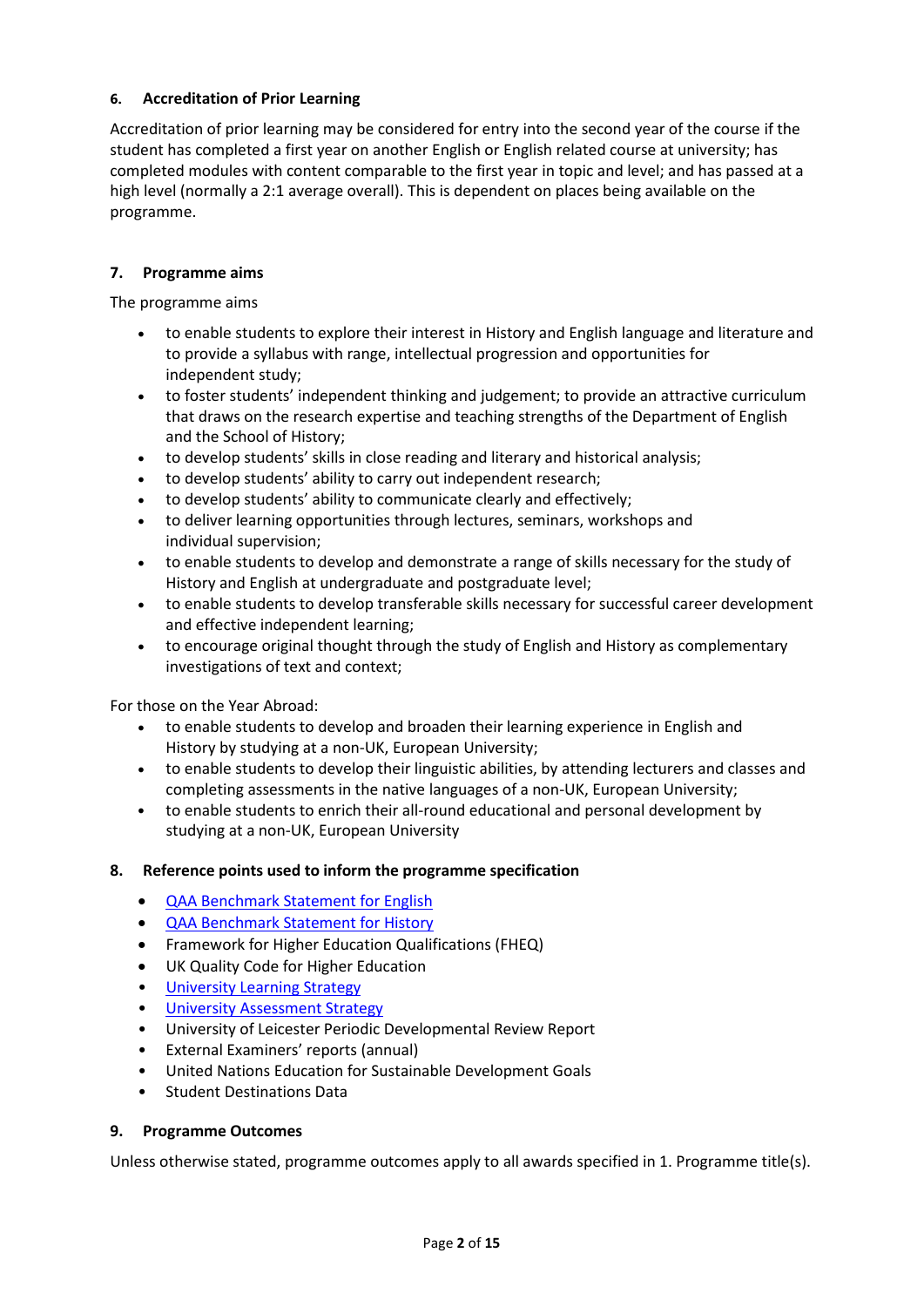### **6. Accreditation of Prior Learning**

Accreditation of prior learning may be considered for entry into the second year of the course if the student has completed a first year on another English or English related course at university; has completed modules with content comparable to the first year in topic and level; and has passed at a high level (normally a 2:1 average overall). This is dependent on places being available on the programme.

#### **7. Programme aims**

The programme aims

- to enable students to explore their interest in History and English language and literature and to provide a syllabus with range, intellectual progression and opportunities for independent study;
- to foster students' independent thinking and judgement; to provide an attractive curriculum that draws on the research expertise and teaching strengths of the Department of English and the School of History;
- to develop students' skills in close reading and literary and historical analysis;
- to develop students' ability to carry out independent research;
- to develop students' ability to communicate clearly and effectively;
- to deliver learning opportunities through lectures, seminars, workshops and individual supervision;
- to enable students to develop and demonstrate a range of skills necessary for the study of History and English at undergraduate and postgraduate level;
- to enable students to develop transferable skills necessary for successful career development and effective independent learning;
- to encourage original thought through the study of English and History as complementary investigations of text and context;

For those on the Year Abroad:

- to enable students to develop and broaden their learning experience in English and History by studying at a non-UK, European University;
- to enable students to develop their linguistic abilities, by attending lecturers and classes and completing assessments in the native languages of a non-UK, European University;
- to enable students to enrich their all-round educational and personal development by studying at a non-UK, European University

### **8. Reference points used to inform the programme specification**

- [QAA Benchmark Statement for English](https://www.qaa.ac.uk/docs/qaa/subject-benchmark-statements/subject-benchmark-statement-english.pdf)
- [QAA Benchmark Statement for History](https://www.qaa.ac.uk/docs/qaa/subject-benchmark-statements/subject-benchmark-statement-history.pdf?sfvrsn=49e2cb81_4)
- Framework for Higher Education Qualifications (FHEQ)
- UK Quality Code for Higher Education
- University Learnin[g Strategy](https://www2.le.ac.uk/offices/sas2/quality/learnteach)
- [University Assessment Strategy](https://www2.le.ac.uk/offices/sas2/quality/learnteach)
- University of Leicester Periodic Developmental Review Report
- External Examiners' reports (annual)
- United Nations Education for Sustainable Development Goals
- Student Destinations Data

#### **9. Programme Outcomes**

Unless otherwise stated, programme outcomes apply to all awards specified in 1. Programme title(s).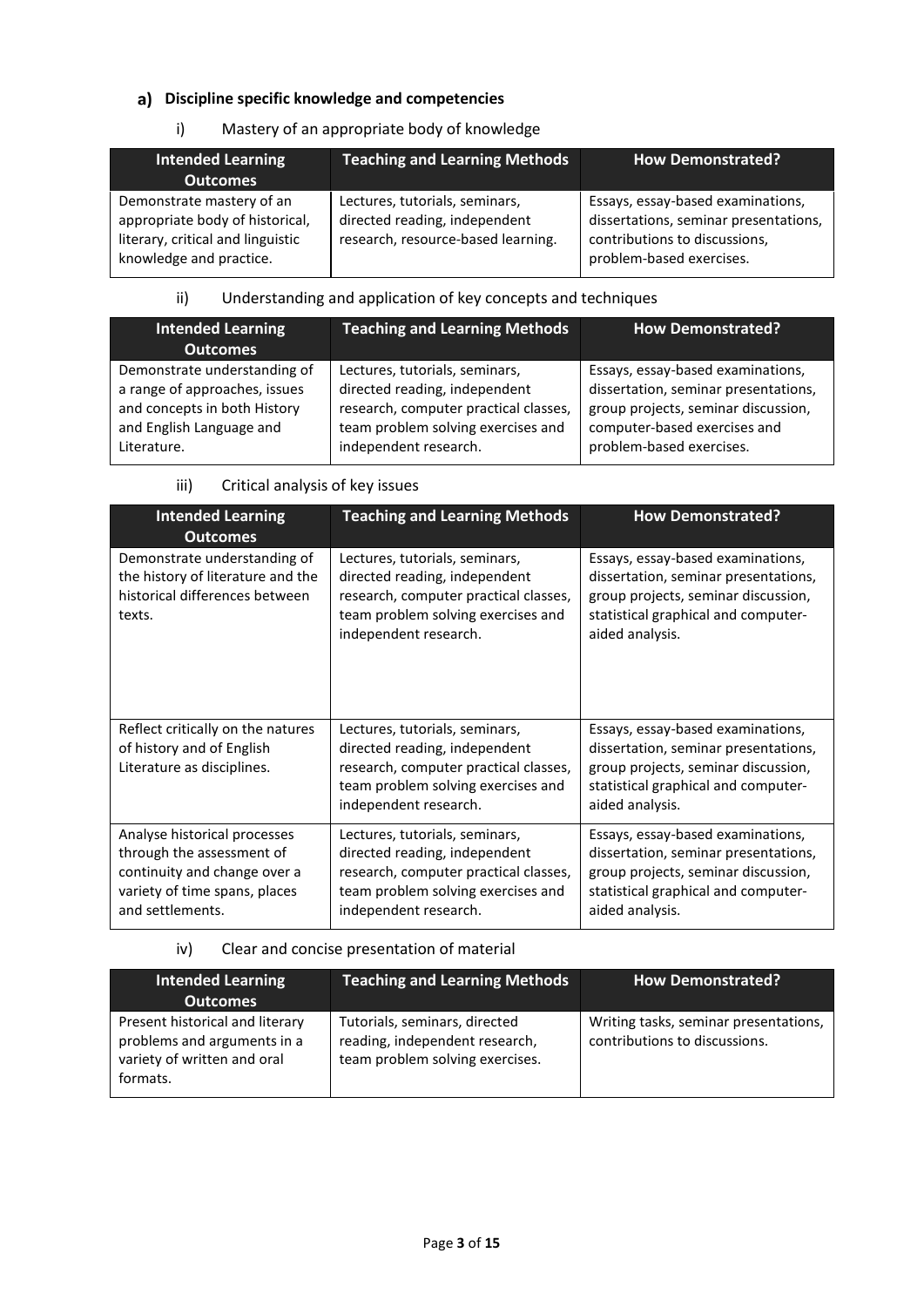## **Discipline specific knowledge and competencies**

## i) Mastery of an appropriate body of knowledge

| <b>Intended Learning</b><br><b>Outcomes</b>                                                                                  | <b>Teaching and Learning Methods</b>                                                                  | <b>How Demonstrated?</b>                                                                                                                |
|------------------------------------------------------------------------------------------------------------------------------|-------------------------------------------------------------------------------------------------------|-----------------------------------------------------------------------------------------------------------------------------------------|
| Demonstrate mastery of an<br>appropriate body of historical,<br>literary, critical and linguistic<br>knowledge and practice. | Lectures, tutorials, seminars,<br>directed reading, independent<br>research, resource-based learning. | Essays, essay-based examinations,<br>dissertations, seminar presentations,<br>contributions to discussions,<br>problem-based exercises. |

## ii) Understanding and application of key concepts and techniques

| Intended Learning<br><b>Outcomes</b> | <b>Teaching and Learning Methods</b>  | <b>How Demonstrated?</b>             |
|--------------------------------------|---------------------------------------|--------------------------------------|
| Demonstrate understanding of         | Lectures, tutorials, seminars,        | Essays, essay-based examinations,    |
| a range of approaches, issues        | directed reading, independent         | dissertation, seminar presentations, |
| and concepts in both History         | research, computer practical classes, | group projects, seminar discussion,  |
| and English Language and             | team problem solving exercises and    | computer-based exercises and         |
| Literature.                          | independent research.                 | problem-based exercises.             |

### iii) Critical analysis of key issues

| <b>Intended Learning</b><br><b>Outcomes</b>                                                                                                    | <b>Teaching and Learning Methods</b>                                                                                                                                    | <b>How Demonstrated?</b>                                                                                                                                                   |
|------------------------------------------------------------------------------------------------------------------------------------------------|-------------------------------------------------------------------------------------------------------------------------------------------------------------------------|----------------------------------------------------------------------------------------------------------------------------------------------------------------------------|
| Demonstrate understanding of<br>the history of literature and the<br>historical differences between<br>texts.                                  | Lectures, tutorials, seminars,<br>directed reading, independent<br>research, computer practical classes,<br>team problem solving exercises and<br>independent research. | Essays, essay-based examinations,<br>dissertation, seminar presentations,<br>group projects, seminar discussion,<br>statistical graphical and computer-<br>aided analysis. |
| Reflect critically on the natures<br>of history and of English<br>Literature as disciplines.                                                   | Lectures, tutorials, seminars,<br>directed reading, independent<br>research, computer practical classes,<br>team problem solving exercises and<br>independent research. | Essays, essay-based examinations,<br>dissertation, seminar presentations,<br>group projects, seminar discussion,<br>statistical graphical and computer-<br>aided analysis. |
| Analyse historical processes<br>through the assessment of<br>continuity and change over a<br>variety of time spans, places<br>and settlements. | Lectures, tutorials, seminars,<br>directed reading, independent<br>research, computer practical classes,<br>team problem solving exercises and<br>independent research. | Essays, essay-based examinations,<br>dissertation, seminar presentations,<br>group projects, seminar discussion,<br>statistical graphical and computer-<br>aided analysis. |

## iv) Clear and concise presentation of material

| <b>Intended Learning</b><br><b>Outcomes</b>                                                               | <b>Teaching and Learning Methods</b>                                                               | <b>How Demonstrated?</b>                                               |
|-----------------------------------------------------------------------------------------------------------|----------------------------------------------------------------------------------------------------|------------------------------------------------------------------------|
| Present historical and literary<br>problems and arguments in a<br>variety of written and oral<br>formats. | Tutorials, seminars, directed<br>reading, independent research,<br>team problem solving exercises. | Writing tasks, seminar presentations,<br>contributions to discussions. |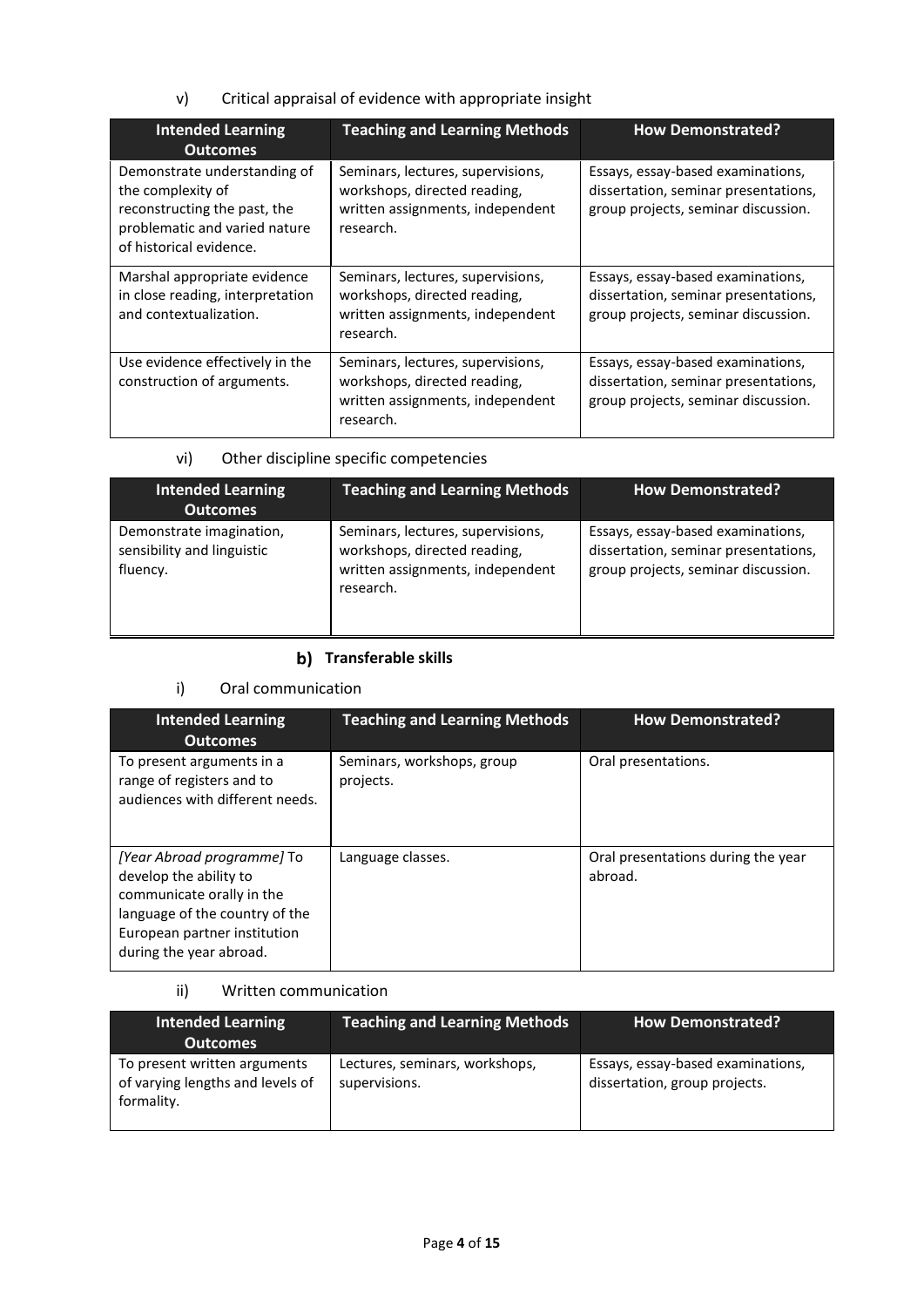v) Critical appraisal of evidence with appropriate insight

| <b>Intended Learning</b><br><b>Outcomes</b>                                                                                                   | <b>Teaching and Learning Methods</b>                                                                               | <b>How Demonstrated?</b>                                                                                         |
|-----------------------------------------------------------------------------------------------------------------------------------------------|--------------------------------------------------------------------------------------------------------------------|------------------------------------------------------------------------------------------------------------------|
| Demonstrate understanding of<br>the complexity of<br>reconstructing the past, the<br>problematic and varied nature<br>of historical evidence. | Seminars, lectures, supervisions,<br>workshops, directed reading,<br>written assignments, independent<br>research. | Essays, essay-based examinations,<br>dissertation, seminar presentations,<br>group projects, seminar discussion. |
| Marshal appropriate evidence<br>in close reading, interpretation<br>and contextualization.                                                    | Seminars, lectures, supervisions,<br>workshops, directed reading,<br>written assignments, independent<br>research. | Essays, essay-based examinations,<br>dissertation, seminar presentations,<br>group projects, seminar discussion. |
| Use evidence effectively in the<br>construction of arguments.                                                                                 | Seminars, lectures, supervisions,<br>workshops, directed reading,<br>written assignments, independent<br>research. | Essays, essay-based examinations,<br>dissertation, seminar presentations,<br>group projects, seminar discussion. |

## vi) Other discipline specific competencies

| <b>Intended Learning</b><br><b>Outcomes</b>                        | <b>Teaching and Learning Methods</b>                                                                               | <b>How Demonstrated?</b>                                                                                         |
|--------------------------------------------------------------------|--------------------------------------------------------------------------------------------------------------------|------------------------------------------------------------------------------------------------------------------|
| Demonstrate imagination,<br>sensibility and linguistic<br>fluency. | Seminars, lectures, supervisions,<br>workshops, directed reading,<br>written assignments, independent<br>research. | Essays, essay-based examinations,<br>dissertation, seminar presentations,<br>group projects, seminar discussion. |

## **b)** Transferable skills

## i) Oral communication

| <b>Intended Learning</b><br><b>Outcomes</b>                                                                                                                                    | <b>Teaching and Learning Methods</b>    | <b>How Demonstrated?</b>                      |
|--------------------------------------------------------------------------------------------------------------------------------------------------------------------------------|-----------------------------------------|-----------------------------------------------|
| To present arguments in a<br>range of registers and to<br>audiences with different needs.                                                                                      | Seminars, workshops, group<br>projects. | Oral presentations.                           |
| [Year Abroad programme] To<br>develop the ability to<br>communicate orally in the<br>language of the country of the<br>European partner institution<br>during the year abroad. | Language classes.                       | Oral presentations during the year<br>abroad. |

### ii) Written communication

| <b>Intended Learning</b><br><b>Outcomes</b>                                    | <b>Teaching and Learning Methods</b>            | <b>How Demonstrated?</b>                                           |
|--------------------------------------------------------------------------------|-------------------------------------------------|--------------------------------------------------------------------|
| To present written arguments<br>of varying lengths and levels of<br>formality. | Lectures, seminars, workshops,<br>supervisions. | Essays, essay-based examinations,<br>dissertation, group projects. |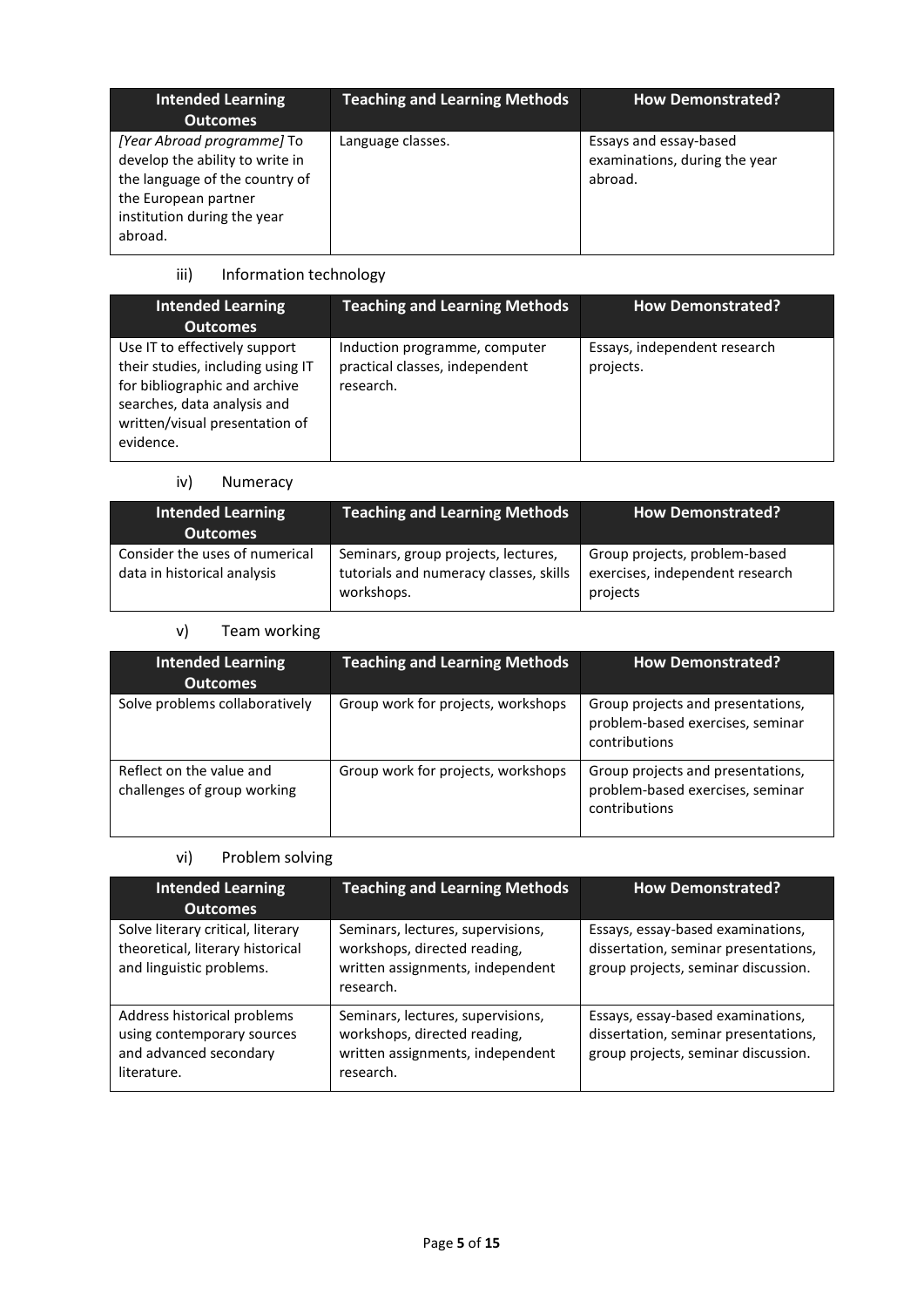| <b>Intended Learning</b><br><b>Outcomes</b>                                                                                                                       | <b>Teaching and Learning Methods</b> | <b>How Demonstrated?</b>                                           |
|-------------------------------------------------------------------------------------------------------------------------------------------------------------------|--------------------------------------|--------------------------------------------------------------------|
| [Year Abroad programme] To<br>develop the ability to write in<br>the language of the country of<br>the European partner<br>institution during the year<br>abroad. | Language classes.                    | Essays and essay-based<br>examinations, during the year<br>abroad. |

## iii) Information technology

| <b>Intended Learning</b><br><b>Outcomes</b>                                                                                                                                       | <b>Teaching and Learning Methods</b>                                         | <b>How Demonstrated?</b>                  |
|-----------------------------------------------------------------------------------------------------------------------------------------------------------------------------------|------------------------------------------------------------------------------|-------------------------------------------|
| Use IT to effectively support<br>their studies, including using IT<br>for bibliographic and archive<br>searches, data analysis and<br>written/visual presentation of<br>evidence. | Induction programme, computer<br>practical classes, independent<br>research. | Essays, independent research<br>projects. |

## iv) Numeracy

| <b>Intended Learning</b><br><b>Outcomes</b>                   | <b>Teaching and Learning Methods</b>                                                        | <b>How Demonstrated?</b>                                                     |
|---------------------------------------------------------------|---------------------------------------------------------------------------------------------|------------------------------------------------------------------------------|
| Consider the uses of numerical<br>data in historical analysis | Seminars, group projects, lectures,<br>tutorials and numeracy classes, skills<br>workshops. | Group projects, problem-based<br>exercises, independent research<br>projects |

## v) Team working

| Intended Learning<br><b>Outcomes</b>                    | <b>Teaching and Learning Methods</b> | <b>How Demonstrated?</b>                                                               |
|---------------------------------------------------------|--------------------------------------|----------------------------------------------------------------------------------------|
| Solve problems collaboratively                          | Group work for projects, workshops   | Group projects and presentations,<br>problem-based exercises, seminar<br>contributions |
| Reflect on the value and<br>challenges of group working | Group work for projects, workshops   | Group projects and presentations,<br>problem-based exercises, seminar<br>contributions |

## vi) Problem solving

| <b>Intended Learning</b><br><b>Outcomes</b>                                                        | <b>Teaching and Learning Methods</b>                                                                               | <b>How Demonstrated?</b>                                                                                         |
|----------------------------------------------------------------------------------------------------|--------------------------------------------------------------------------------------------------------------------|------------------------------------------------------------------------------------------------------------------|
| Solve literary critical, literary<br>theoretical, literary historical<br>and linguistic problems.  | Seminars, lectures, supervisions,<br>workshops, directed reading,<br>written assignments, independent<br>research. | Essays, essay-based examinations,<br>dissertation, seminar presentations,<br>group projects, seminar discussion. |
| Address historical problems<br>using contemporary sources<br>and advanced secondary<br>literature. | Seminars, lectures, supervisions,<br>workshops, directed reading,<br>written assignments, independent<br>research. | Essays, essay-based examinations,<br>dissertation, seminar presentations,<br>group projects, seminar discussion. |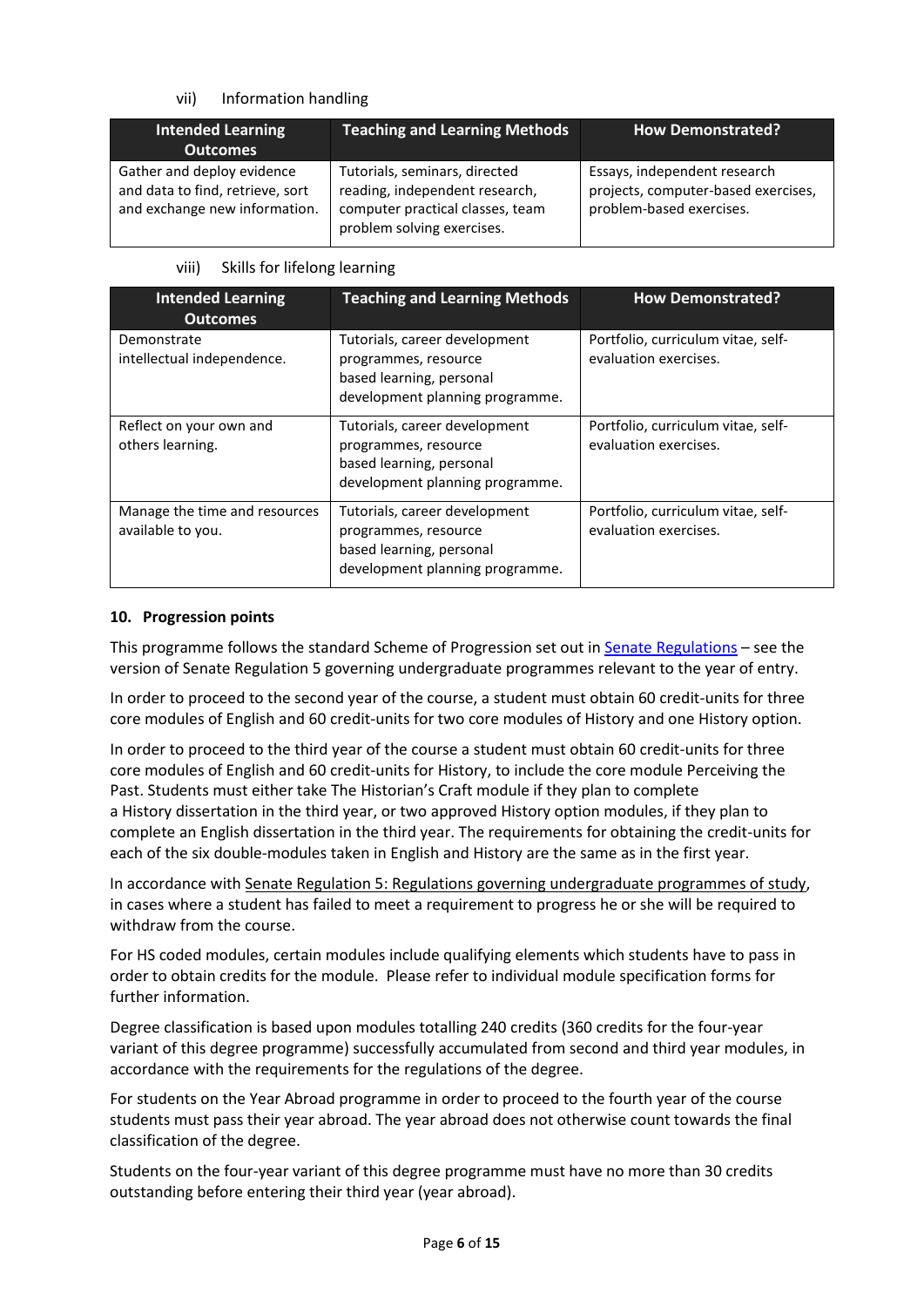#### vii) Information handling

| <b>Intended Learning</b><br><b>Outcomes</b>                                                     | Teaching and Learning Methods                                                                                                     | <b>How Demonstrated?</b>                                                                        |
|-------------------------------------------------------------------------------------------------|-----------------------------------------------------------------------------------------------------------------------------------|-------------------------------------------------------------------------------------------------|
| Gather and deploy evidence<br>and data to find, retrieve, sort<br>and exchange new information. | Tutorials, seminars, directed<br>reading, independent research,<br>computer practical classes, team<br>problem solving exercises. | Essays, independent research<br>projects, computer-based exercises,<br>problem-based exercises. |

#### viii) Skills for lifelong learning

| <b>Intended Learning</b><br><b>Outcomes</b>        | <b>Teaching and Learning Methods</b>                                                                                 | <b>How Demonstrated?</b>                                    |
|----------------------------------------------------|----------------------------------------------------------------------------------------------------------------------|-------------------------------------------------------------|
| Demonstrate<br>intellectual independence.          | Tutorials, career development<br>programmes, resource<br>based learning, personal<br>development planning programme. | Portfolio, curriculum vitae, self-<br>evaluation exercises. |
| Reflect on your own and<br>others learning.        | Tutorials, career development<br>programmes, resource<br>based learning, personal<br>development planning programme. | Portfolio, curriculum vitae, self-<br>evaluation exercises. |
| Manage the time and resources<br>available to you. | Tutorials, career development<br>programmes, resource<br>based learning, personal<br>development planning programme. | Portfolio, curriculum vitae, self-<br>evaluation exercises. |

#### **10. Progression points**

This programme follows the standard Scheme of Progression set out i[n Senate Regulations](http://www.le.ac.uk/senate-regulations) – see the version of Senate Regulation 5 governing undergraduate programmes relevant to the year of entry.

In order to proceed to the second year of the course, a student must obtain 60 credit-units for three core modules of English and 60 credit-units for two core modules of History and one History option.

In order to proceed to the third year of the course a student must obtain 60 credit-units for three core modules of English and 60 credit-units for History, to include the core module Perceiving the Past. Students must either take The Historian's Craft module if they plan to complete a History dissertation in the third year, or two approved History option modules, if they plan to complete an English dissertation in the third year. The requirements for obtaining the credit-units for each of the six double-modules taken in English and History are the same as in the first year.

In accordance with [Senate Regulation 5: Regulations governing undergraduate programmes of study,](https://www2.le.ac.uk/offices/sas2/regulations/documents/senatereg5-undergraduates) in cases where a student has failed to meet a requirement to progress he or she will be required to withdraw from the course.

For HS coded modules, certain modules include qualifying elements which students have to pass in order to obtain credits for the module. Please refer to individual module specification forms for further information.

Degree classification is based upon modules totalling 240 credits (360 credits for the four-year variant of this degree programme) successfully accumulated from second and third year modules, in accordance with the requirements for the regulations of the degree.

For students on the Year Abroad programme in order to proceed to the fourth year of the course students must pass their year abroad. The year abroad does not otherwise count towards the final classification of the degree.

Students on the four-year variant of this degree programme must have no more than 30 credits outstanding before entering their third year (year abroad).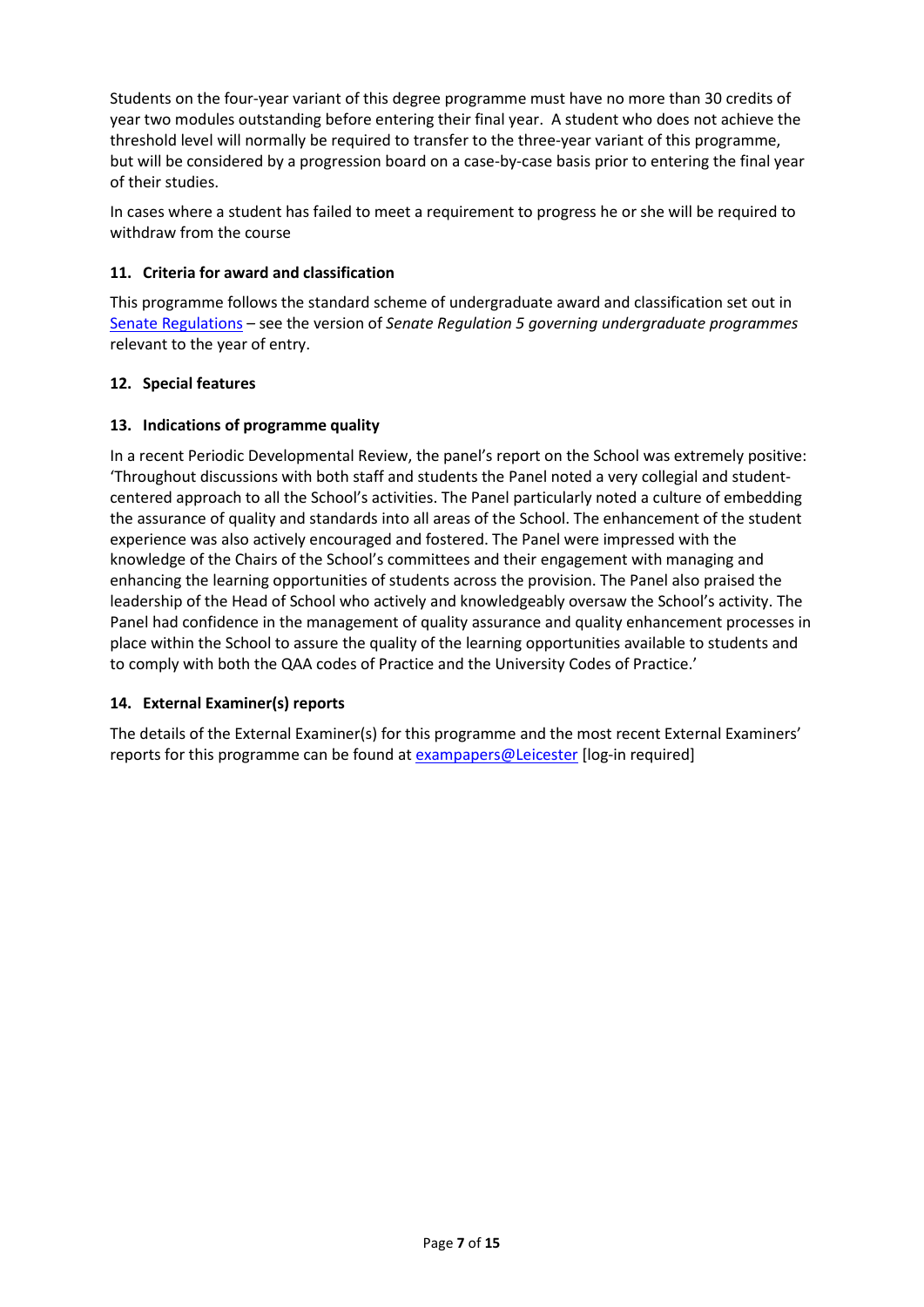Students on the four-year variant of this degree programme must have no more than 30 credits of year two modules outstanding before entering their final year. A student who does not achieve the threshold level will normally be required to transfer to the three-year variant of this programme, but will be considered by a progression board on a case-by-case basis prior to entering the final year of their studies.

In cases where a student has failed to meet a requirement to progress he or she will be required to withdraw from the course

### **11. Criteria for award and classification**

This programme follows the standard scheme of undergraduate award and classification set out in [Senate Regulations](http://www.le.ac.uk/senate-regulations) – see the version of *Senate Regulation 5 governing undergraduate programmes* relevant to the year of entry.

#### **12. Special features**

#### **13. Indications of programme quality**

In a recent Periodic Developmental Review, the panel's report on the School was extremely positive: 'Throughout discussions with both staff and students the Panel noted a very collegial and studentcentered approach to all the School's activities. The Panel particularly noted a culture of embedding the assurance of quality and standards into all areas of the School. The enhancement of the student experience was also actively encouraged and fostered. The Panel were impressed with the knowledge of the Chairs of the School's committees and their engagement with managing and enhancing the learning opportunities of students across the provision. The Panel also praised the leadership of the Head of School who actively and knowledgeably oversaw the School's activity. The Panel had confidence in the management of quality assurance and quality enhancement processes in place within the School to assure the quality of the learning opportunities available to students and to comply with both the QAA codes of Practice and the University Codes of Practice.'

### **14. External Examiner(s) reports**

The details of the External Examiner(s) for this programme and the most recent External Examiners' reports for this programme can be found at **[exampapers@Leicester](https://exampapers.le.ac.uk/)** [log-in required]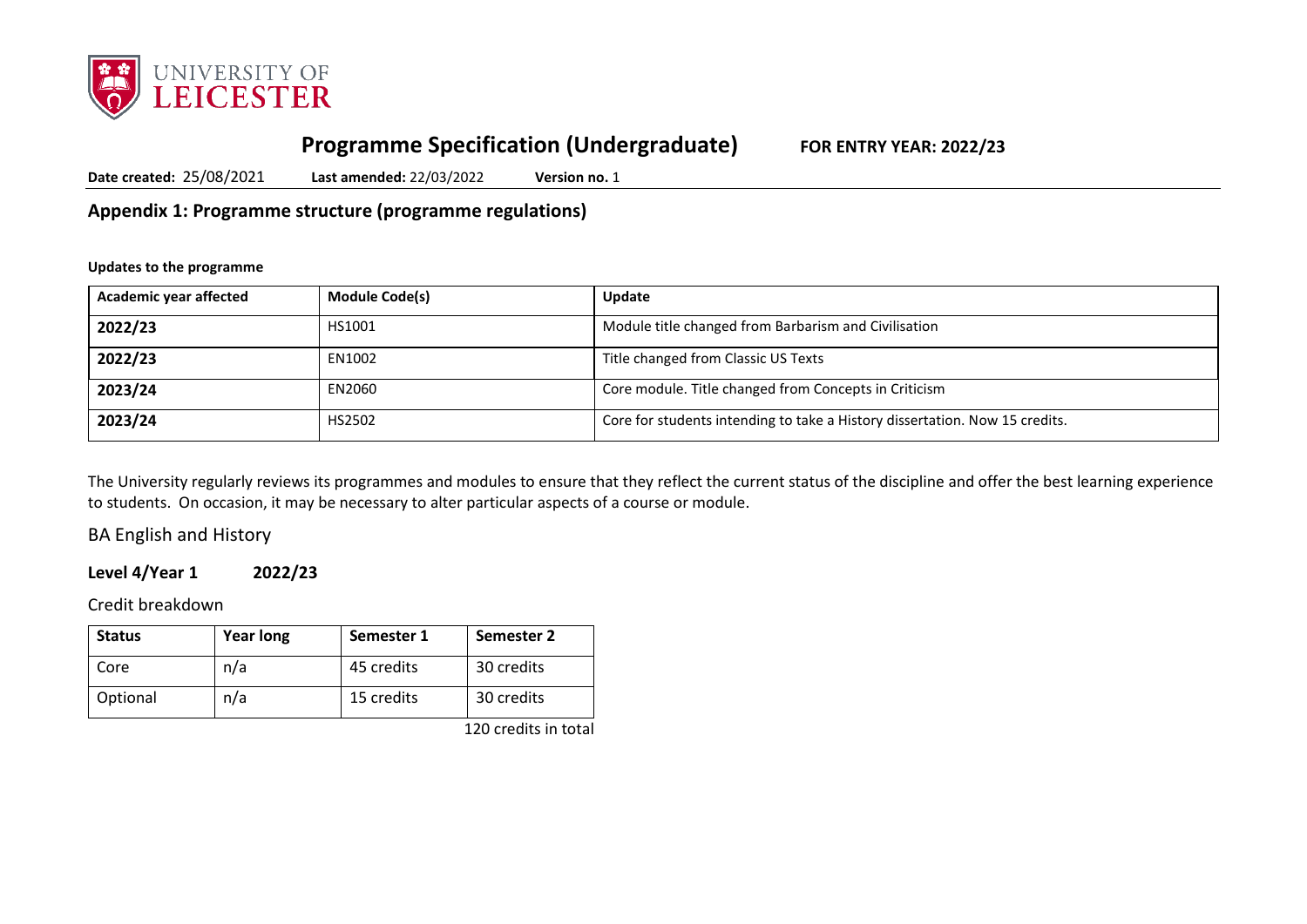

# **Programme Specification (Undergraduate) FOR ENTRY YEAR: 2022/23**

**Date created:** 25/08/2021 **Last amended:** 22/03/2022 **Version no.** 1

**Appendix 1: Programme structure (programme regulations)**

#### **Updates to the programme**

| Academic year affected | <b>Module Code(s)</b> | <b>Update</b>                                                               |
|------------------------|-----------------------|-----------------------------------------------------------------------------|
| 2022/23                | HS1001                | Module title changed from Barbarism and Civilisation                        |
| 2022/23                | EN1002                | Title changed from Classic US Texts                                         |
| 2023/24                | EN2060                | Core module. Title changed from Concepts in Criticism                       |
| 2023/24                | HS2502                | Core for students intending to take a History dissertation. Now 15 credits. |

The University regularly reviews its programmes and modules to ensure that they reflect the current status of the discipline and offer the best learning experience to students. On occasion, it may be necessary to alter particular aspects of a course or module.

BA English and History

## **Level 4/Year 1 2022/23**

Credit breakdown

| <b>Status</b> | <b>Year long</b> | Semester 1 | Semester 2            |
|---------------|------------------|------------|-----------------------|
| Core          | n/a              | 45 credits | 30 credits            |
| Optional      | n/a              | 15 credits | 30 credits            |
|               |                  |            | $1.20 \times 10^{-1}$ |

120 credits in total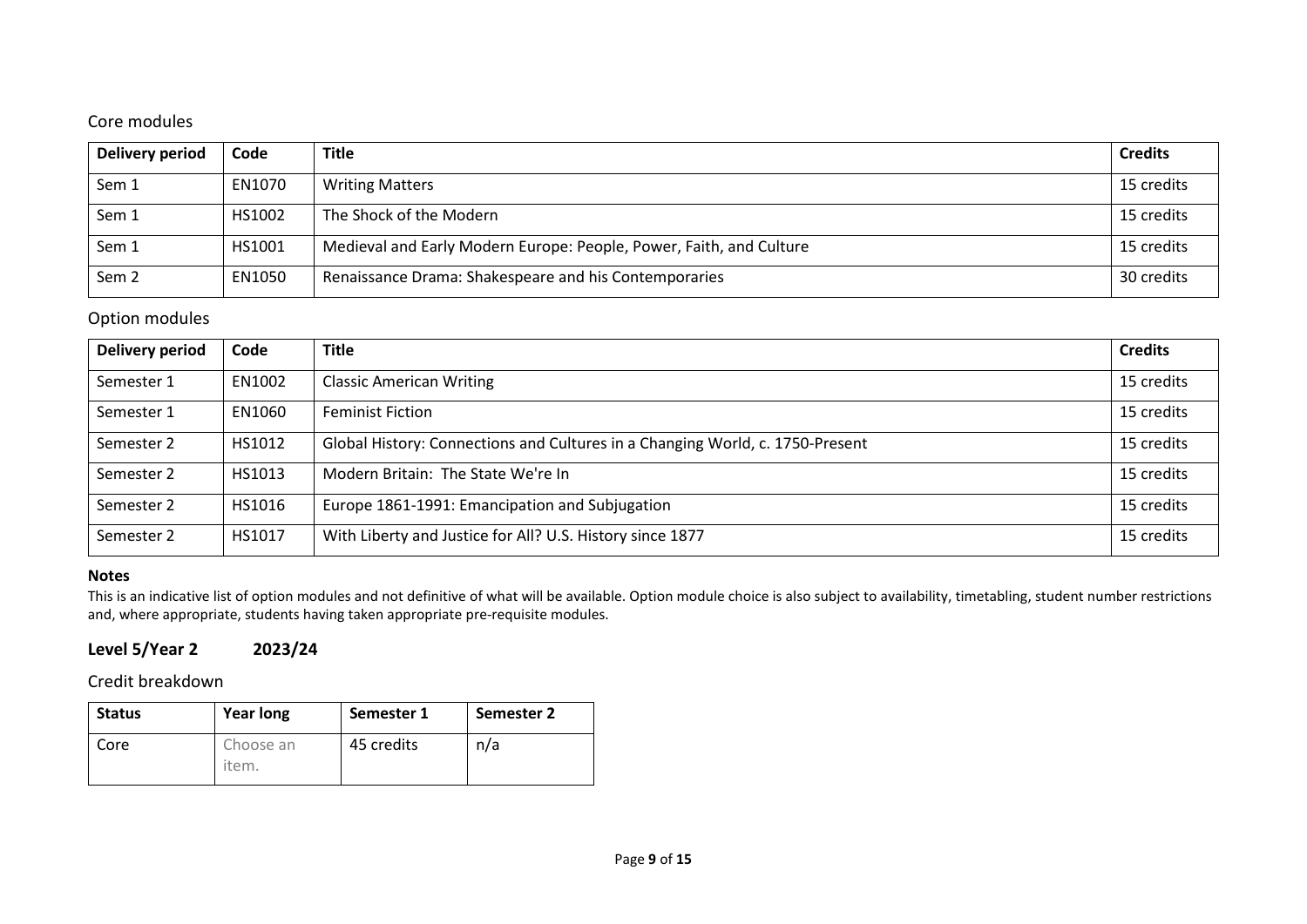## Core modules

| Delivery period  | Code   | <b>Title</b>                                                        | <b>Credits</b> |
|------------------|--------|---------------------------------------------------------------------|----------------|
| Sem 1            | EN1070 | <b>Writing Matters</b>                                              | 15 credits     |
| Sem 1            | HS1002 | The Shock of the Modern                                             | 15 credits     |
| Sem 1            | HS1001 | Medieval and Early Modern Europe: People, Power, Faith, and Culture | 15 credits     |
| Sem <sub>2</sub> | EN1050 | Renaissance Drama: Shakespeare and his Contemporaries               | 30 credits     |

## Option modules

| <b>Delivery period</b> | Code   | <b>Title</b>                                                                  | <b>Credits</b> |
|------------------------|--------|-------------------------------------------------------------------------------|----------------|
| Semester 1             | EN1002 | <b>Classic American Writing</b>                                               | 15 credits     |
| Semester 1             | EN1060 | <b>Feminist Fiction</b>                                                       | 15 credits     |
| Semester 2             | HS1012 | Global History: Connections and Cultures in a Changing World, c. 1750-Present | 15 credits     |
| Semester 2             | HS1013 | Modern Britain: The State We're In                                            | 15 credits     |
| Semester 2             | HS1016 | Europe 1861-1991: Emancipation and Subjugation                                | 15 credits     |
| Semester 2             | HS1017 | With Liberty and Justice for All? U.S. History since 1877                     | 15 credits     |

### **Notes**

This is an indicative list of option modules and not definitive of what will be available. Option module choice is also subject to availability, timetabling, student number restrictions and, where appropriate, students having taken appropriate pre-requisite modules.

## **Level 5/Year 2 2023/24**

Credit breakdown

| <b>Status</b> | <b>Year long</b>   | Semester 1 | <b>Semester 2</b> |
|---------------|--------------------|------------|-------------------|
| Core          | Choose an<br>item. | 45 credits | n/a               |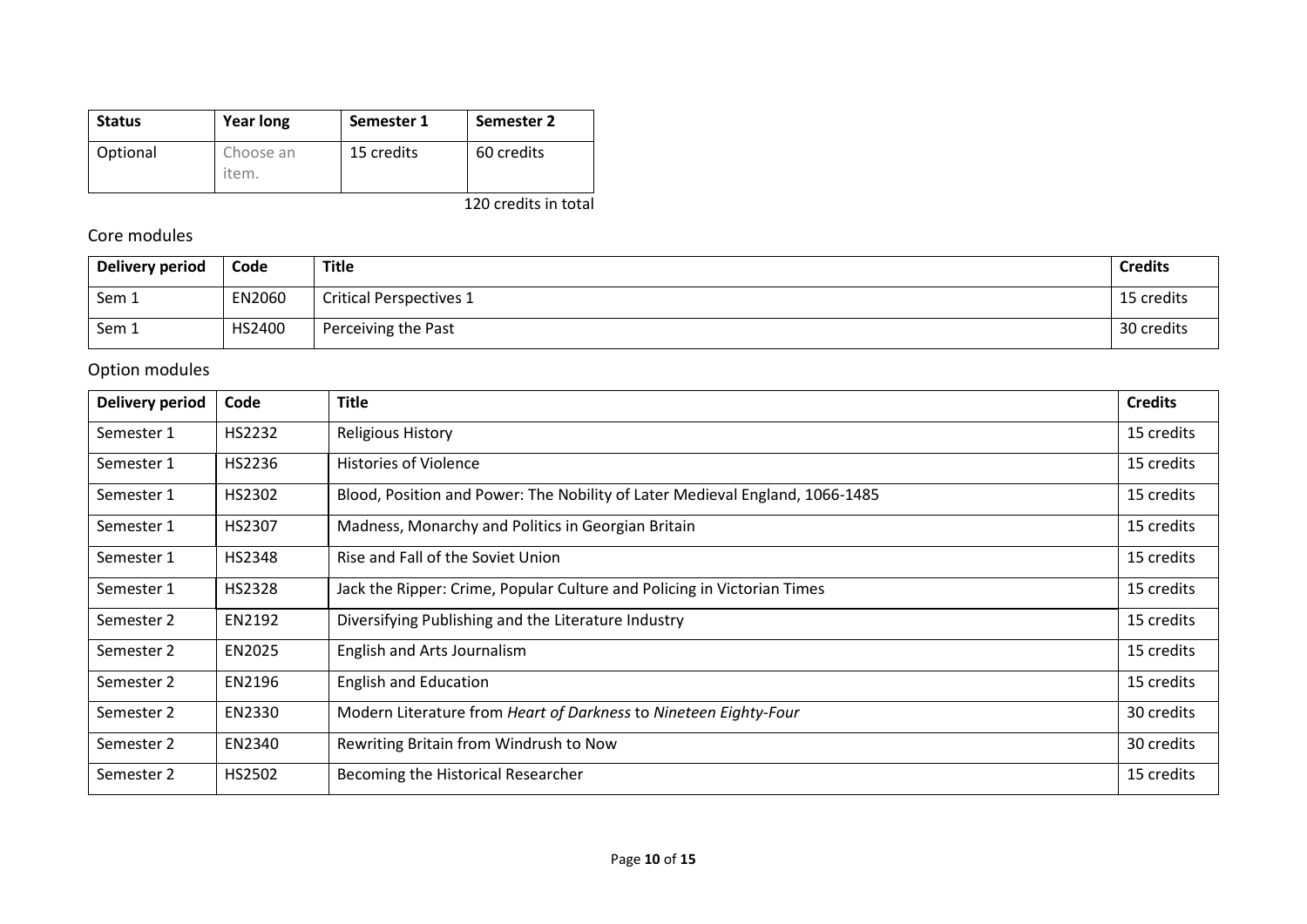| <b>Status</b> | <b>Year long</b>   | Semester 1 | Semester 2 |
|---------------|--------------------|------------|------------|
| Optional      | Choose an<br>item. | 15 credits | 60 credits |

120 credits in total

## Core modules

| Delivery period | Code   | Title                          | <b>Credits</b> |
|-----------------|--------|--------------------------------|----------------|
| Sem 1           | EN2060 | <b>Critical Perspectives 1</b> | 15 credits     |
| Sem 1           | HS2400 | Perceiving the Past            | 30 credits     |

## Option modules

| <b>Delivery period</b> | Code          | Title                                                                        | <b>Credits</b> |
|------------------------|---------------|------------------------------------------------------------------------------|----------------|
| Semester 1             | HS2232        | <b>Religious History</b>                                                     | 15 credits     |
| Semester 1             | HS2236        | <b>Histories of Violence</b>                                                 | 15 credits     |
| Semester 1             | HS2302        | Blood, Position and Power: The Nobility of Later Medieval England, 1066-1485 | 15 credits     |
| Semester 1             | HS2307        | Madness, Monarchy and Politics in Georgian Britain                           | 15 credits     |
| Semester 1             | HS2348        | Rise and Fall of the Soviet Union                                            | 15 credits     |
| Semester 1             | <b>HS2328</b> | Jack the Ripper: Crime, Popular Culture and Policing in Victorian Times      | 15 credits     |
| Semester 2             | EN2192        | Diversifying Publishing and the Literature Industry                          | 15 credits     |
| Semester 2             | EN2025        | English and Arts Journalism                                                  | 15 credits     |
| Semester 2             | EN2196        | <b>English and Education</b>                                                 | 15 credits     |
| Semester 2             | EN2330        | Modern Literature from Heart of Darkness to Nineteen Eighty-Four             | 30 credits     |
| Semester 2             | EN2340        | Rewriting Britain from Windrush to Now                                       | 30 credits     |
| Semester 2             | HS2502        | Becoming the Historical Researcher                                           | 15 credits     |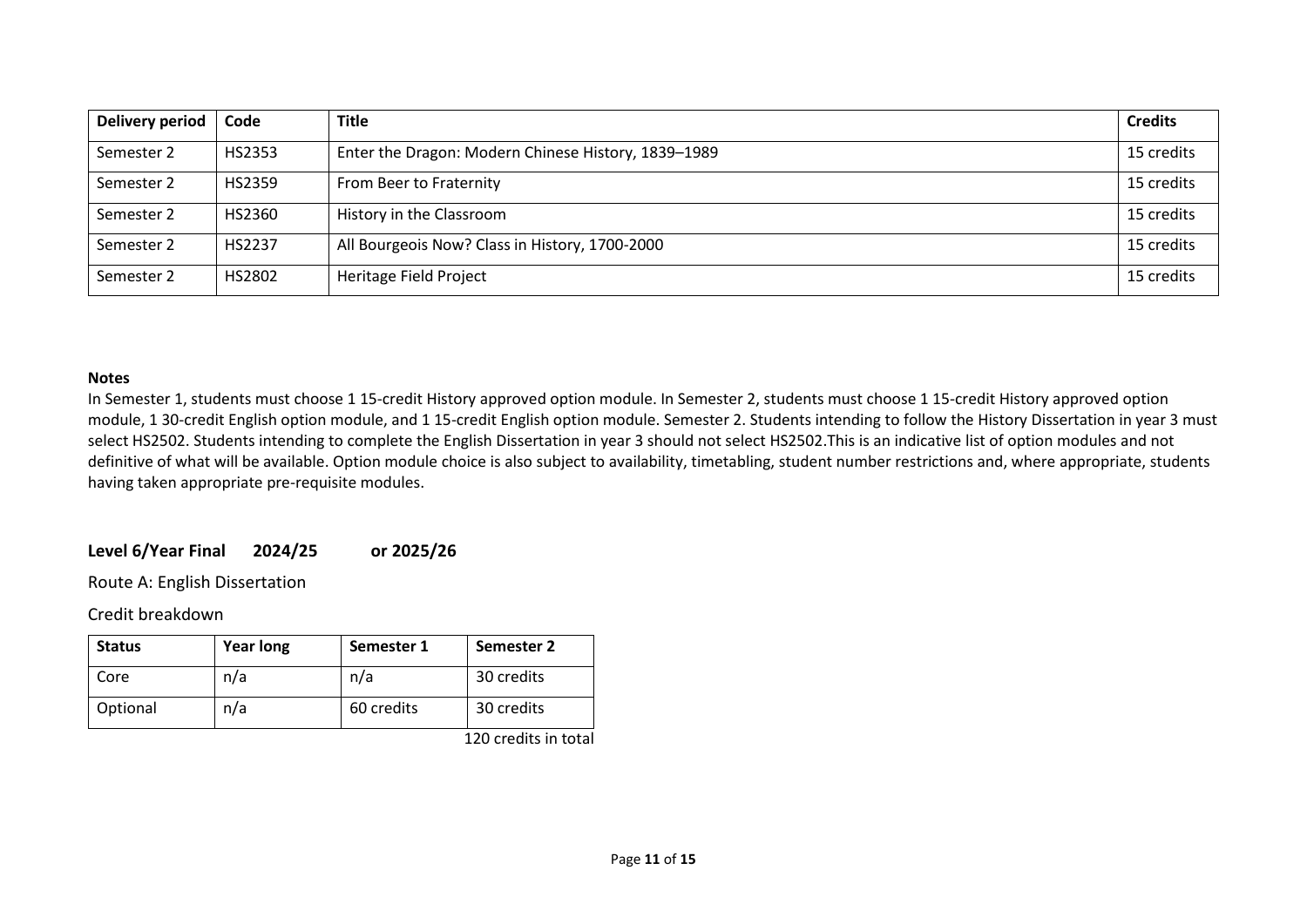| Delivery period | Code          | <b>Title</b>                                        | <b>Credits</b> |
|-----------------|---------------|-----------------------------------------------------|----------------|
| Semester 2      | <b>HS2353</b> | Enter the Dragon: Modern Chinese History, 1839-1989 | 15 credits     |
| Semester 2      | HS2359        | From Beer to Fraternity                             | 15 credits     |
| Semester 2      | HS2360        | History in the Classroom                            | 15 credits     |
| Semester 2      | <b>HS2237</b> | All Bourgeois Now? Class in History, 1700-2000      | 15 credits     |
| Semester 2      | HS2802        | Heritage Field Project                              | 15 credits     |

#### **Notes**

In Semester 1, students must choose 1 15-credit History approved option module. In Semester 2, students must choose 1 15-credit History approved option module, 1 30-credit English option module, and 1 15-credit English option module. Semester 2. Students intending to follow the History Dissertation in year 3 must select HS2502. Students intending to complete the English Dissertation in year 3 should not select HS2502.This is an indicative list of option modules and not definitive of what will be available. Option module choice is also subject to availability, timetabling, student number restrictions and, where appropriate, students having taken appropriate pre-requisite modules.

#### **Level 6/Year Final 2024/25 or 2025/26**

Route A: English Dissertation

Credit breakdown

| <b>Status</b> | Year long | Semester 1 | Semester 2 |
|---------------|-----------|------------|------------|
| Core          | n/a       | n/a        | 30 credits |
| Optional      | n/a       | 60 credits | 30 credits |

120 credits in total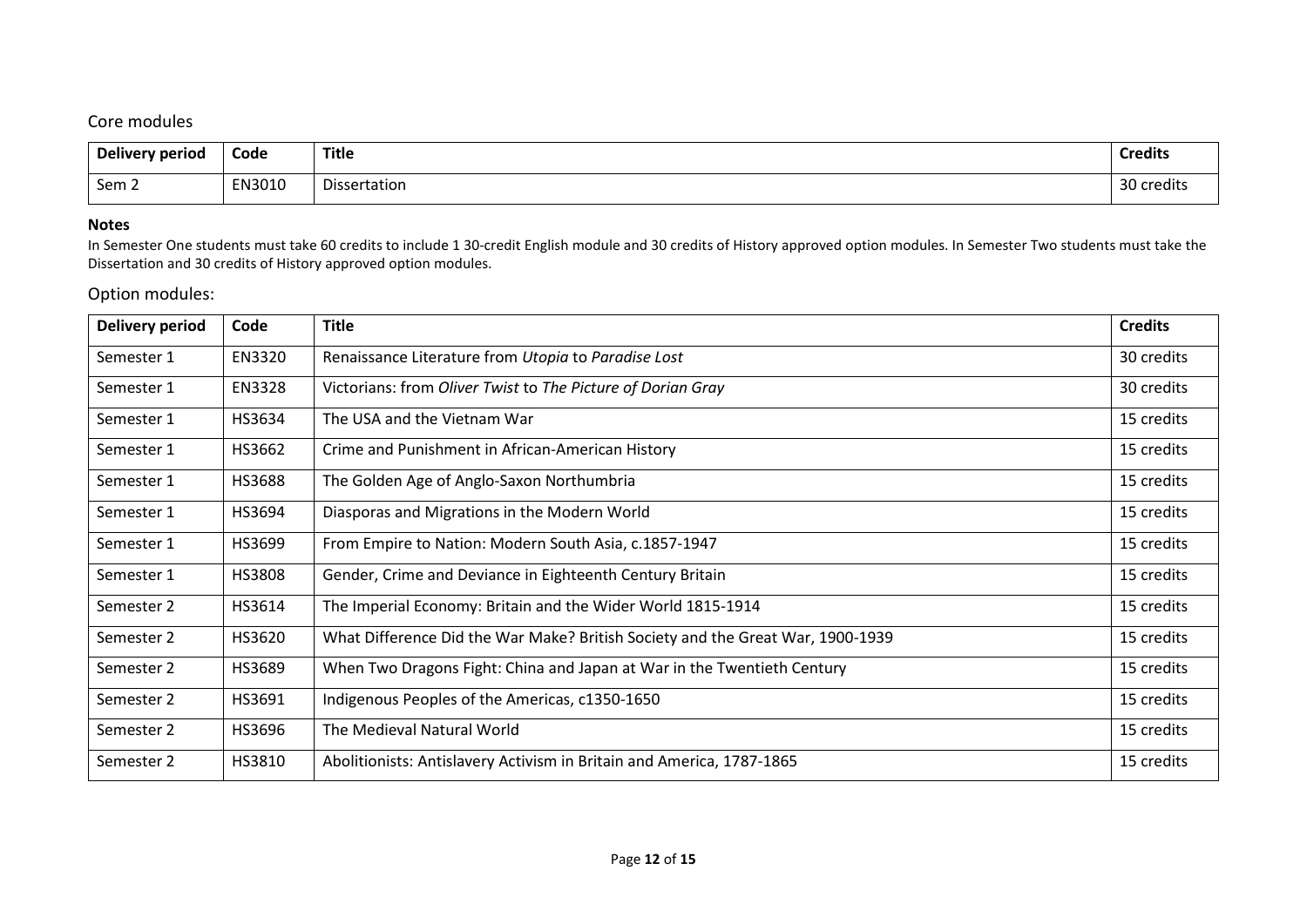## Core modules

| Delivery period | Code<br>- - - - | <b>Title</b> | Credit.        |
|-----------------|-----------------|--------------|----------------|
| Sem 2           | EN3010          | Dissertation | ാറ<br>credits: |

### **Notes**

In Semester One students must take 60 credits to include 1 30-credit English module and 30 credits of History approved option modules. In Semester Two students must take the Dissertation and 30 credits of History approved option modules.

## Option modules:

| <b>Delivery period</b> | Code          | <b>Title</b>                                                                   | <b>Credits</b> |
|------------------------|---------------|--------------------------------------------------------------------------------|----------------|
| Semester 1             | EN3320        | Renaissance Literature from Utopia to Paradise Lost                            | 30 credits     |
| Semester 1             | <b>EN3328</b> | Victorians: from Oliver Twist to The Picture of Dorian Gray                    | 30 credits     |
| Semester 1             | HS3634        | The USA and the Vietnam War                                                    | 15 credits     |
| Semester 1             | HS3662        | Crime and Punishment in African-American History                               | 15 credits     |
| Semester 1             | <b>HS3688</b> | The Golden Age of Anglo-Saxon Northumbria                                      | 15 credits     |
| Semester 1             | HS3694        | Diasporas and Migrations in the Modern World                                   | 15 credits     |
| Semester 1             | HS3699        | From Empire to Nation: Modern South Asia, c.1857-1947                          | 15 credits     |
| Semester 1             | HS3808        | Gender, Crime and Deviance in Eighteenth Century Britain                       | 15 credits     |
| Semester 2             | HS3614        | The Imperial Economy: Britain and the Wider World 1815-1914                    | 15 credits     |
| Semester 2             | HS3620        | What Difference Did the War Make? British Society and the Great War, 1900-1939 | 15 credits     |
| Semester 2             | HS3689        | When Two Dragons Fight: China and Japan at War in the Twentieth Century        | 15 credits     |
| Semester 2             | HS3691        | Indigenous Peoples of the Americas, c1350-1650                                 | 15 credits     |
| Semester 2             | HS3696        | The Medieval Natural World                                                     | 15 credits     |
| Semester 2             | HS3810        | Abolitionists: Antislavery Activism in Britain and America, 1787-1865          | 15 credits     |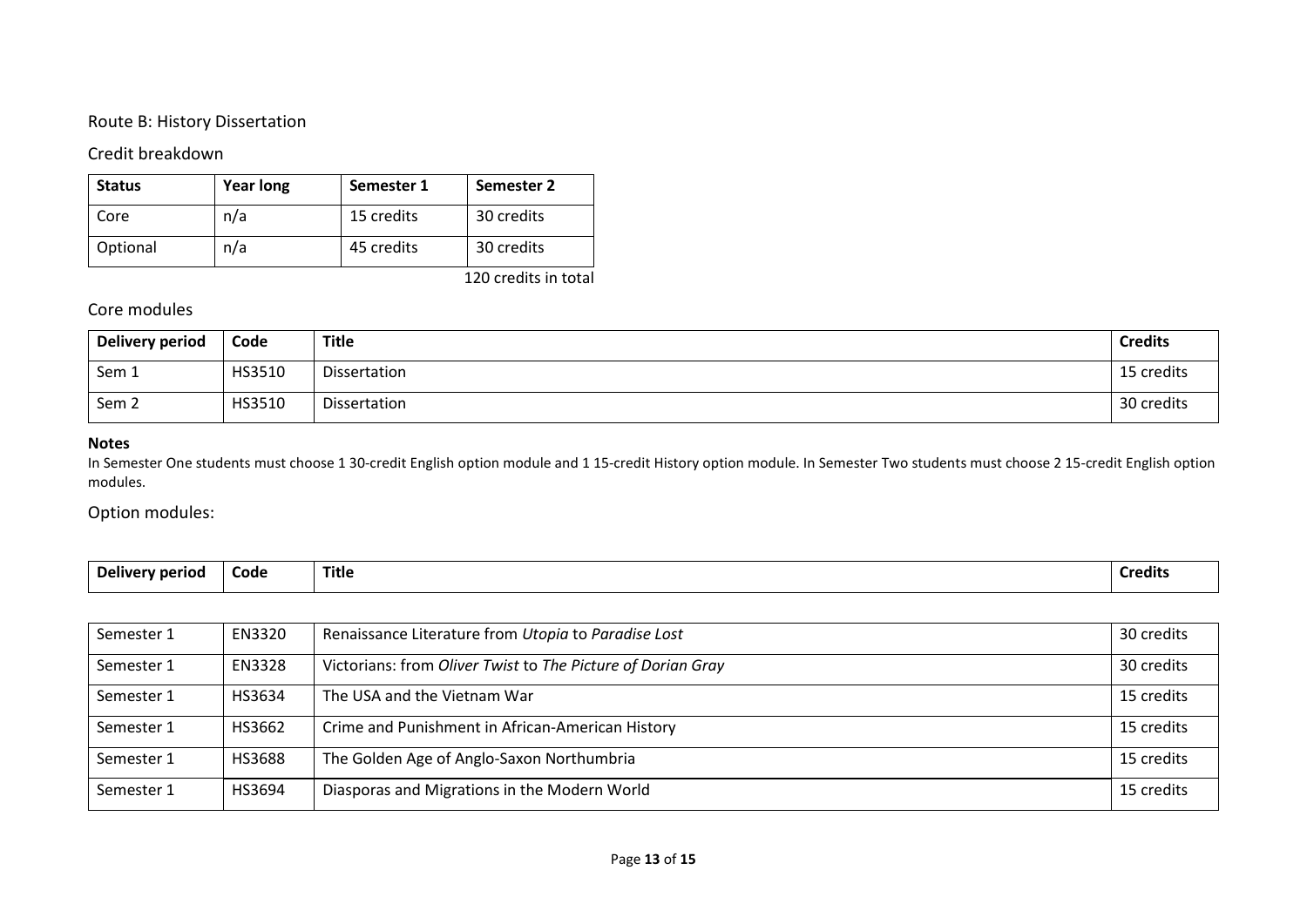### Route B: History Dissertation

## Credit breakdown

| <b>Status</b> | <b>Year long</b> | Semester 1 | Semester 2 |
|---------------|------------------|------------|------------|
| Core          | n/a              | 15 credits | 30 credits |
| Optional      | n/a              | 45 credits | 30 credits |

120 credits in total

## Core modules

| Delivery period  | Code   | Title        | <b>Credits</b> |
|------------------|--------|--------------|----------------|
| Sem 1            | HS3510 | Dissertation | 15 credits     |
| Sem <sub>2</sub> | HS3510 | Dissertation | 30 credits     |

## **Notes**

In Semester One students must choose 1 30-credit English option module and 1 15-credit History option module. In Semester Two students must choose 2 15-credit English option modules.

Option modules:

| <b>Delivery</b><br>/ period | Code | <b>Title</b> | .<br>∵redit |
|-----------------------------|------|--------------|-------------|
|-----------------------------|------|--------------|-------------|

| Semester 1 | EN3320 | Renaissance Literature from Utopia to Paradise Lost         | 30 credits |
|------------|--------|-------------------------------------------------------------|------------|
| Semester 1 | EN3328 | Victorians: from Oliver Twist to The Picture of Dorian Gray | 30 credits |
| Semester 1 | HS3634 | The USA and the Vietnam War                                 | 15 credits |
| Semester 1 | HS3662 | Crime and Punishment in African-American History            | 15 credits |
| Semester 1 | HS3688 | The Golden Age of Anglo-Saxon Northumbria                   | 15 credits |
| Semester 1 | HS3694 | Diasporas and Migrations in the Modern World                | 15 credits |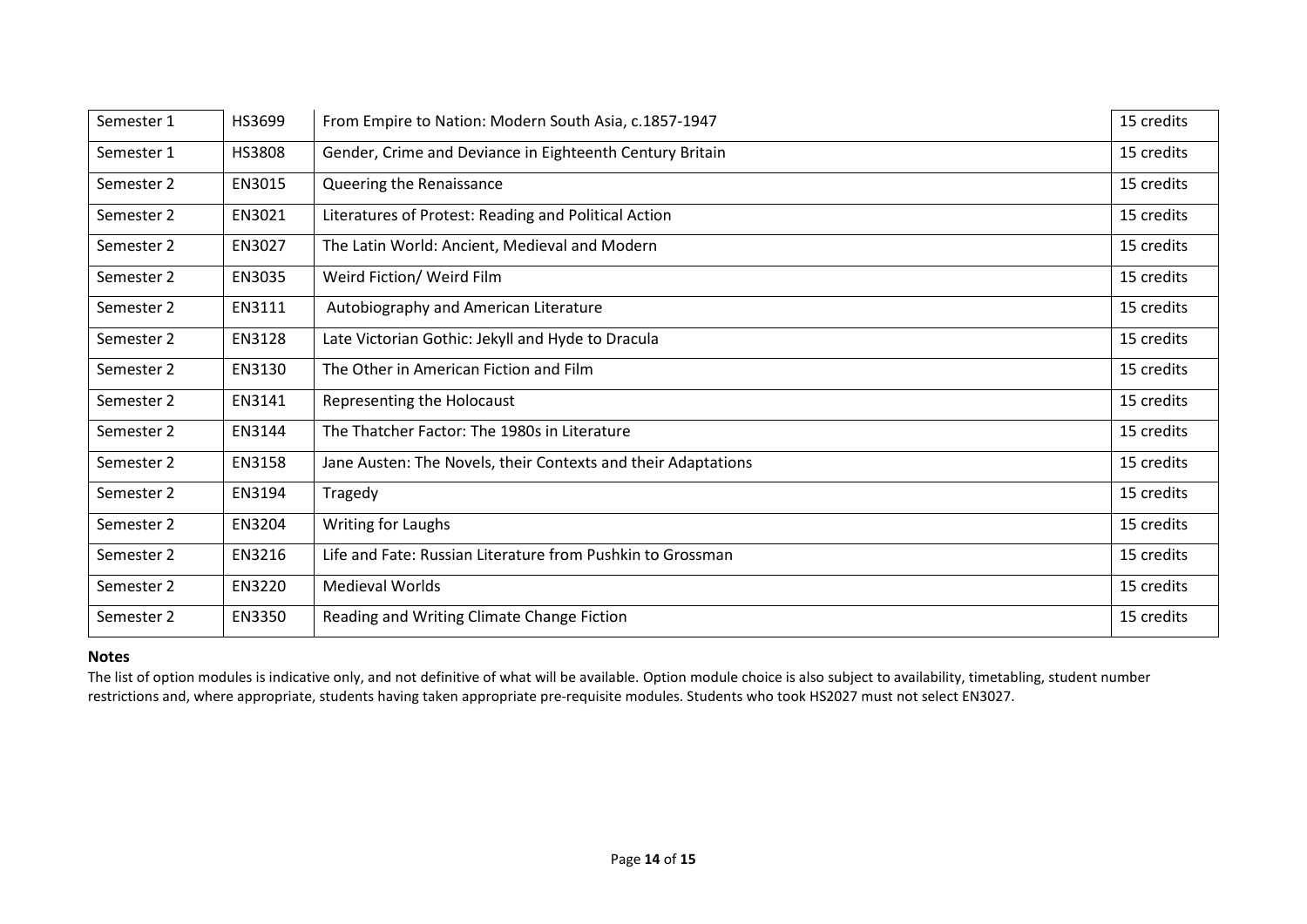| Semester 1 | HS3699        | From Empire to Nation: Modern South Asia, c.1857-1947         | 15 credits |
|------------|---------------|---------------------------------------------------------------|------------|
| Semester 1 | <b>HS3808</b> | Gender, Crime and Deviance in Eighteenth Century Britain      | 15 credits |
| Semester 2 | EN3015        | Queering the Renaissance                                      | 15 credits |
| Semester 2 | EN3021        | Literatures of Protest: Reading and Political Action          | 15 credits |
| Semester 2 | EN3027        | The Latin World: Ancient, Medieval and Modern                 | 15 credits |
| Semester 2 | EN3035        | Weird Fiction/ Weird Film                                     | 15 credits |
| Semester 2 | EN3111        | Autobiography and American Literature                         | 15 credits |
| Semester 2 | EN3128        | Late Victorian Gothic: Jekyll and Hyde to Dracula             | 15 credits |
| Semester 2 | EN3130        | The Other in American Fiction and Film                        | 15 credits |
| Semester 2 | EN3141        | Representing the Holocaust                                    | 15 credits |
| Semester 2 | EN3144        | The Thatcher Factor: The 1980s in Literature                  | 15 credits |
| Semester 2 | EN3158        | Jane Austen: The Novels, their Contexts and their Adaptations | 15 credits |
| Semester 2 | EN3194        | Tragedy                                                       | 15 credits |
| Semester 2 | EN3204        | Writing for Laughs                                            | 15 credits |
| Semester 2 | EN3216        | Life and Fate: Russian Literature from Pushkin to Grossman    | 15 credits |
| Semester 2 | <b>EN3220</b> | <b>Medieval Worlds</b>                                        | 15 credits |
| Semester 2 | EN3350        | Reading and Writing Climate Change Fiction                    | 15 credits |

#### **Notes**

The list of option modules is indicative only, and not definitive of what will be available. Option module choice is also subject to availability, timetabling, student number restrictions and, where appropriate, students having taken appropriate pre-requisite modules. Students who took HS2027 must not select EN3027.